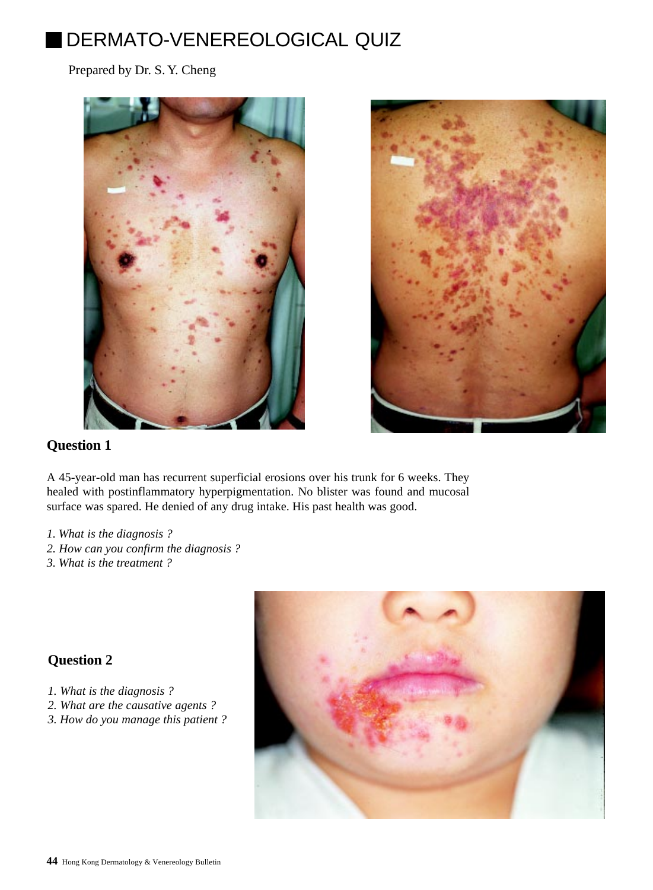# DERMATO-VENEREOLOGICAL QUIZ

Prepared by Dr. S. Y. Cheng





# **Question 1**

A 45-year-old man has recurrent superficial erosions over his trunk for 6 weeks. They healed with postinflammatory hyperpigmentation. No blister was found and mucosal surface was spared. He denied of any drug intake. His past health was good.

- *1. What is the diagnosis ?*
- *2. How can you confirm the diagnosis ?*
- *3. What is the treatment ?*

## **Question 2**

- *1. What is the diagnosis ?*
- *2. What are the causative agents ?*
- *3. How do you manage this patient ?*